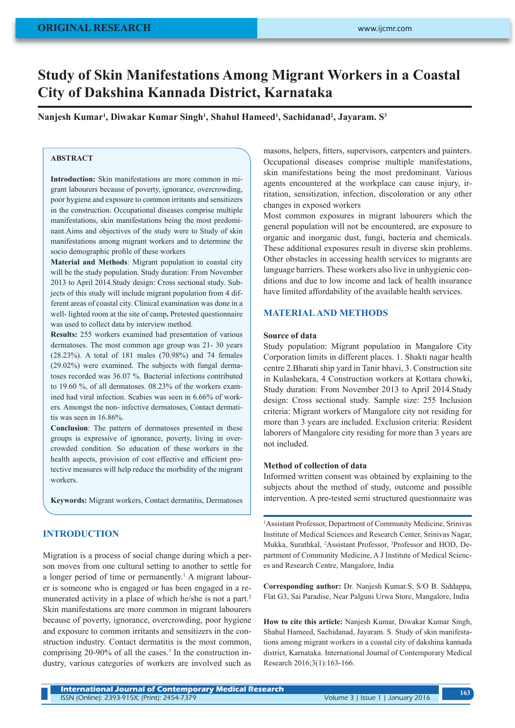# **Study of Skin Manifestations Among Migrant Workers in a Coastal City of Dakshina Kannada District, Karnataka**

**Nanjesh Kumar1 , Diwakar Kumar Singh1 , Shahul Hameed1 , Sachidanad2 , Jayaram. S3**

# **ABSTRACT**

**Introduction:** Skin manifestations are more common in migrant labourers because of poverty, ignorance, overcrowding, poor hygiene and exposure to common irritants and sensitizers in the construction. Occupational diseases comprise multiple manifestations, skin manifestations being the most predominant.Aims and objectives of the study were to Study of skin manifestations among migrant workers and to determine the socio demographic profile of these workers

**Material and Methods**: Migrant population in coastal city will be the study population. Study duration: From November 2013 to April 2014.Study design: Cross sectional study. Subjects of this study will include migrant population from 4 different areas of coastal city. Clinical examination was done in a well- lighted room at the site of camp**.** Pretested questionnaire was used to collect data by interview method.

**Results:** 255 workers examined had presentation of various dermatoses. The most common age group was 21- 30 years (28.23%). A total of 181 males (70.98%) and 74 females (29.02%) were examined. The subjects with fungal dermatoses recorded was 36.07 %. Bacterial infections contributed to 19.60 %, of all dermatoses. 08.23% of the workers examined had viral infection. Scabies was seen in 6.66% of workers. Amongst the non- infective dermatoses, Contact dermatitis was seen in 16.86%.

**Conclusion**: The pattern of dermatoses presented in these groups is expressive of ignorance, poverty, living in overcrowded condition. So education of these workers in the health aspects, provision of cost effective and efficient protective measures will help reduce the morbidity of the migrant workers.

**Keywords:** Migrant workers, Contact dermatitis, Dermatoses

## **INTRODUCTION**

Migration is a process of social change during which a person moves from one cultural setting to another to settle for a longer period of time or permanently.<sup>1</sup> A migrant labourer is someone who is engaged or has been engaged in a remunerated activity in a place of which he/she is not a part.<sup>2</sup> Skin manifestations are more common in migrant labourers because of poverty, ignorance, overcrowding, poor hygiene and exposure to common irritants and sensitizers in the construction industry. Contact dermatitis is the most common, comprising 20-90% of all the cases.<sup>3</sup> In the construction industry, various categories of workers are involved such as

masons, helpers, fitters, supervisors, carpenters and painters. Occupational diseases comprise multiple manifestations, skin manifestations being the most predominant. Various agents encountered at the workplace can cause injury, irritation, sensitization, infection, discoloration or any other changes in exposed workers

Most common exposures in migrant labourers which the general population will not be encountered, are exposure to organic and inorganic dust, fungi, bacteria and chemicals. These additional exposures result in diverse skin problems. Other obstacles in accessing health services to migrants are language barriers. These workers also live in unhygienic conditions and due to low income and lack of health insurance have limited affordability of the available health services.

## **MATERIAL AND METHODS**

### **Source of data**

Study population: Migrant population in Mangalore City Corporation limits in different places. 1. Shakti nagar health centre 2.Bharati ship yard in Tanir bhavi, 3. Construction site in Kulashekara, 4 Construction workers at Kottara chowki, Study duration: From November 2013 to April 2014.Study design: Cross sectional study. Sample size: 255 Inclusion criteria: Migrant workers of Mangalore city not residing for more than 3 years are included. Exclusion criteria: Resident laborers of Mangalore city residing for more than 3 years are not included.

#### **Method of collection of data**

Informed written consent was obtained by explaining to the subjects about the method of study, outcome and possible intervention. A pre-tested semi structured questionnaire was

1 Assistant Professor, Department of Community Medicine, Srinivas Institute of Medical Sciences and Research Center, Srinivas Nagar, Mukka, Surathkal, 2 Assistant Professor, 3 Professor and HOD, Department of Community Medicine, A J Institute of Medical Sciences and Research Centre, Mangalore, India

**Corresponding author:** Dr. Nanjesh Kumar.S, S/O B. Siddappa, Flat G3, Sai Paradise, Near Palguni Urwa Store, Mangalore, India

**How to cite this article:** Nanjesh Kumar, Diwakar Kumar Singh, Shahul Hameed, Sachidanad, Jayaram. S. Study of skin manifestations among migrant workers in a coastal city of dakshina kannada district, Karnataka. International Journal of Contemporary Medical Research 2016;3(1):163-166.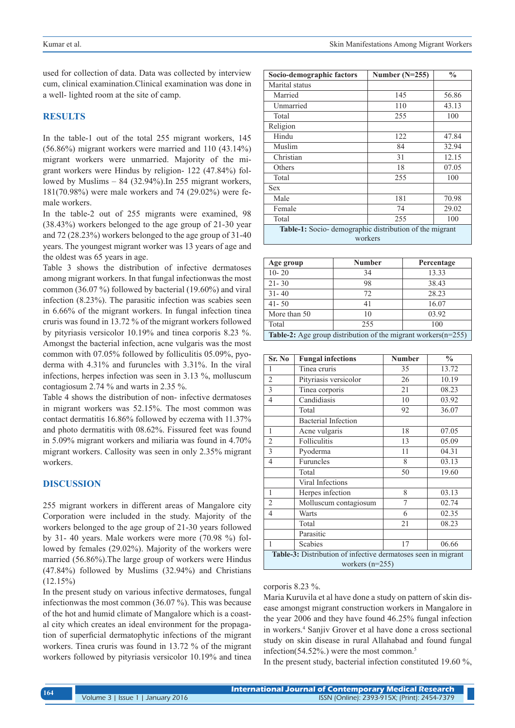used for collection of data. Data was collected by interview cum, clinical examination.Clinical examination was done in a well- lighted room at the site of camp.

#### **RESULTS**

In the table-1 out of the total 255 migrant workers, 145 (56.86%) migrant workers were married and 110 (43.14%) migrant workers were unmarried. Majority of the migrant workers were Hindus by religion- 122 (47.84%) followed by Muslims – 84 (32.94%).In 255 migrant workers, 181(70.98%) were male workers and 74 (29.02%) were female workers.

In the table-2 out of 255 migrants were examined, 98 (38.43%) workers belonged to the age group of 21-30 year and 72 (28.23%) workers belonged to the age group of 31-40 years. The youngest migrant worker was 13 years of age and the oldest was 65 years in age.

Table 3 shows the distribution of infective dermatoses among migrant workers. In that fungal infectionwas the most common (36.07 %) followed by bacterial (19.60%) and viral infection (8.23%). The parasitic infection was scabies seen in 6.66% of the migrant workers. In fungal infection tinea cruris was found in 13.72 % of the migrant workers followed by pityriasis versicolor 10.19% and tinea corporis 8.23 %. Amongst the bacterial infection, acne vulgaris was the most common with 07.05% followed by folliculitis 05.09%, pyoderma with 4.31% and furuncles with 3.31%. In the viral infections, herpes infection was seen in 3.13 %, molluscum contagiosum 2.74 % and warts in 2.35 %.

Table 4 shows the distribution of non- infective dermatoses in migrant workers was 52.15%. The most common was contact dermatitis 16.86% followed by eczema with 11.37% and photo dermatitis with 08.62%. Fissured feet was found in 5.09% migrant workers and miliaria was found in 4.70% migrant workers. Callosity was seen in only 2.35% migrant workers.

#### **DISCUSSION**

255 migrant workers in different areas of Mangalore city Corporation were included in the study. Majority of the workers belonged to the age group of 21-30 years followed by 31- 40 years. Male workers were more (70.98 %) followed by females (29.02%). Majority of the workers were married (56.86%).The large group of workers were Hindus (47.84%) followed by Muslims (32.94%) and Christians  $(12.15%)$ 

In the present study on various infective dermatoses, fungal infectionwas the most common (36.07 %). This was because of the hot and humid climate of Mangalore which is a coastal city which creates an ideal environment for the propagation of superficial dermatophytic infections of the migrant workers. Tinea cruris was found in 13.72 % of the migrant workers followed by pityriasis versicolor 10.19% and tinea

| Socio-demographic factors                               | Number $(N=255)$ | $\frac{0}{0}$ |  |  |
|---------------------------------------------------------|------------------|---------------|--|--|
| Marital status                                          |                  |               |  |  |
| Married                                                 | 145              | 56.86         |  |  |
| Unmarried                                               | 110              | 43.13         |  |  |
| Total                                                   | 255              | 100           |  |  |
| Religion                                                |                  |               |  |  |
| Hindu                                                   | 122              | 47.84         |  |  |
| Muslim                                                  | 84               | 32.94         |  |  |
| Christian                                               | 31               | 12.15         |  |  |
| Others                                                  | 18               | 07.05         |  |  |
| Total                                                   | 255              | 100           |  |  |
| <b>Sex</b>                                              |                  |               |  |  |
| Male                                                    | 181              | 70.98         |  |  |
| Female                                                  | 74               | 29.02         |  |  |
| Total                                                   | 255              | 100           |  |  |
| Table-1: Socio- demographic distribution of the migrant |                  |               |  |  |
| workers                                                 |                  |               |  |  |

| Age group                                                        | <b>Number</b> | Percentage |  |  |
|------------------------------------------------------------------|---------------|------------|--|--|
| $10 - 20$                                                        | 34            | 13.33      |  |  |
| $21 - 30$                                                        | 98            | 38.43      |  |  |
| $31 - 40$                                                        | 72            | 28.23      |  |  |
| $41 - 50$                                                        |               | 16.07      |  |  |
| More than 50                                                     | 10            | 03.92      |  |  |
| Total                                                            | 255           | 100        |  |  |
| Table-2: Age group distribution of the migrant workers $(n=255)$ |               |            |  |  |

| Sr. No                                                                             | <b>Fungal infections</b>   | <b>Number</b> | $\frac{1}{2}$ |  |
|------------------------------------------------------------------------------------|----------------------------|---------------|---------------|--|
| 1                                                                                  | Tinea cruris               | 35            | 13.72         |  |
| $\overline{2}$                                                                     | Pityriasis versicolor      | 26            | 10.19         |  |
| 3                                                                                  | Tinea corporis             | 21            | 08.23         |  |
| $\overline{4}$                                                                     | Candidiasis                | 10            | 03.92         |  |
|                                                                                    | Total                      | 92            | 36.07         |  |
|                                                                                    | <b>Bacterial Infection</b> |               |               |  |
| 1                                                                                  | Acne vulgaris              | 18            | 07.05         |  |
| $\overline{2}$                                                                     | <b>Folliculitis</b>        | 13            | 05.09         |  |
| 3                                                                                  | Pyoderma                   | 11            | 04.31         |  |
| $\overline{4}$                                                                     | Furuncles                  | 8             | 03.13         |  |
|                                                                                    | Total                      | 50            | 19.60         |  |
|                                                                                    | Viral Infections           |               |               |  |
| 1                                                                                  | Herpes infection           | 8             | 03.13         |  |
| $\overline{c}$                                                                     | Molluscum contagiosum      | 7             | 02.74         |  |
| 4                                                                                  | Warts                      | 6             | 02.35         |  |
|                                                                                    | Total                      | 21            | 08.23         |  |
|                                                                                    | Parasitic                  |               |               |  |
| 1                                                                                  | <b>Scabies</b>             | 17            | 06.66         |  |
| Table-3: Distribution of infective dermatoses seen in migrant<br>workers $(n=255)$ |                            |               |               |  |

#### corporis 8.23 %.

Maria Kuruvila et al have done a study on pattern of skin disease amongst migrant construction workers in Mangalore in the year 2006 and they have found 46.25% fungal infection in workers.4 Sanjiv Grover et al have done a cross sectional study on skin disease in rural Allahabad and found fungal infection( $54.52\%$ .) were the most common.<sup>5</sup>

In the present study, bacterial infection constituted 19.60 %,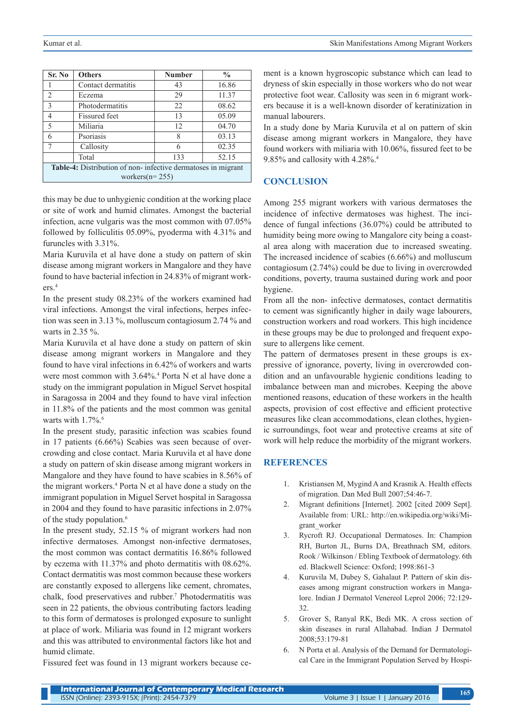| Sr. No                                                                               | <b>Others</b>        | <b>Number</b> | $\frac{0}{0}$ |  |
|--------------------------------------------------------------------------------------|----------------------|---------------|---------------|--|
|                                                                                      | Contact dermatitis   | 43            | 16.86         |  |
| $\overline{2}$                                                                       | Eczema               | 29            | 11.37         |  |
| $\overline{3}$                                                                       | Photodermatitis      | 22            | 08.62         |  |
| 4                                                                                    | <b>Fissured</b> feet | 13            | 05.09         |  |
| 5                                                                                    | Miliaria             | 12            | 04.70         |  |
| 6                                                                                    | Psoriasis            | 8             | 03.13         |  |
|                                                                                      | Callosity            | 6             | 02.35         |  |
|                                                                                      | Total                | 133           | 52.15         |  |
| Table-4: Distribution of non-infective dermatoses in migrant<br>workers( $n = 255$ ) |                      |               |               |  |

this may be due to unhygienic condition at the working place or site of work and humid climates. Amongst the bacterial infection, acne vulgaris was the most common with 07.05% followed by folliculitis 05.09%, pyoderma with 4.31% and furuncles with 3.31%.

Maria Kuruvila et al have done a study on pattern of skin disease among migrant workers in Mangalore and they have found to have bacterial infection in 24.83% of migrant workers.4

In the present study 08.23% of the workers examined had viral infections. Amongst the viral infections, herpes infection was seen in 3.13 %, molluscum contagiosum 2.74 % and warts in 2.35 %.

Maria Kuruvila et al have done a study on pattern of skin disease among migrant workers in Mangalore and they found to have viral infections in 6.42% of workers and warts were most common with 3.64%.<sup>4</sup> Porta N et al have done a study on the immigrant population in Miguel Servet hospital in Saragossa in 2004 and they found to have viral infection in 11.8% of the patients and the most common was genital warts with  $1.7\%$ .<sup>6</sup>

In the present study, parasitic infection was scabies found in 17 patients (6.66%) Scabies was seen because of overcrowding and close contact. Maria Kuruvila et al have done a study on pattern of skin disease among migrant workers in Mangalore and they have found to have scabies in 8.56% of the migrant workers.<sup>4</sup> Porta N et al have done a study on the immigrant population in Miguel Servet hospital in Saragossa in 2004 and they found to have parasitic infections in 2.07% of the study population.<sup>6</sup>

In the present study, 52.15 % of migrant workers had non infective dermatoses. Amongst non-infective dermatoses, the most common was contact dermatitis 16.86% followed by eczema with 11.37% and photo dermatitis with 08.62%. Contact dermatitis was most common because these workers are constantly exposed to allergens like cement, chromates, chalk, food preservatives and rubber.7 Photodermatitis was seen in 22 patients, the obvious contributing factors leading to this form of dermatoses is prolonged exposure to sunlight at place of work. Miliaria was found in 12 migrant workers and this was attributed to environmental factors like hot and humid climate.

Fissured feet was found in 13 migrant workers because ce-

ment is a known hygroscopic substance which can lead to dryness of skin especially in those workers who do not wear protective foot wear. Callosity was seen in 6 migrant workers because it is a well-known disorder of keratinization in manual labourers.

In a study done by Maria Kuruvila et al on pattern of skin disease among migrant workers in Mangalore, they have found workers with miliaria with 10.06%, fissured feet to be 9.85% and callosity with 4.28%.4

# **CONCLUSION**

Among 255 migrant workers with various dermatoses the incidence of infective dermatoses was highest. The incidence of fungal infections (36.07%) could be attributed to humidity being more owing to Mangalore city being a coastal area along with maceration due to increased sweating. The increased incidence of scabies (6.66%) and molluscum contagiosum (2.74%) could be due to living in overcrowded conditions, poverty, trauma sustained during work and poor hygiene.

From all the non- infective dermatoses, contact dermatitis to cement was significantly higher in daily wage labourers, construction workers and road workers. This high incidence in these groups may be due to prolonged and frequent exposure to allergens like cement.

The pattern of dermatoses present in these groups is expressive of ignorance, poverty, living in overcrowded condition and an unfavourable hygienic conditions leading to imbalance between man and microbes. Keeping the above mentioned reasons, education of these workers in the health aspects, provision of cost effective and efficient protective measures like clean accommodations, clean clothes, hygienic surroundings, foot wear and protective creams at site of work will help reduce the morbidity of the migrant workers.

# **REFERENCES**

- 1. Kristiansen M, Mygind A and Krasnik A. Health effects of migration. Dan Med Bull 2007;54:46-7.
- 2. Migrant definitions [Internet]. 2002 [cited 2009 Sept]. Available from: URL: http://en.wikipedia.org/wiki/Migrant\_worker
- 3. Rycroft RJ. Occupational Dermatoses. In: Champion RH, Burton JL, Burns DA, Breathnach SM, editors. Rook / Wilkinson / Ebling Textbook of dermatology. 6th ed. Blackwell Science: Oxford; 1998:861-3
- 4. Kuruvila M, Dubey S, Gahalaut P. Pattern of skin diseases among migrant construction workers in Mangalore. Indian J Dermatol Venereol Leprol 2006; 72:129- 32.
- 5. Grover S, Ranyal RK, Bedi MK. A cross section of skin diseases in rural Allahabad. Indian J Dermatol 2008;53:179-81
- 6. N Porta et al. Analysis of the Demand for Dermatological Care in the Immigrant Population Served by Hospi-